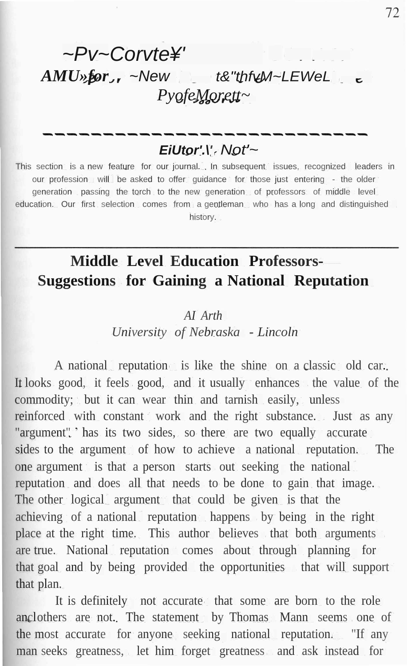# *~Pv~Corvte¥' AMU»for ~New t&"thfvM~LEWeL PyofeMorett~*

## *EiUtor'.\' Not'~*

This section is a new feature for our journal. In subsequent issues, recognized leaders in our profession will be asked to offer guidance for those just entering - the older generation passing the torch to the new generation of professors of middle level education. Our first selection comes from a gentleman, who has a long and distinguished history.

## **Middle Level Education Professors-Suggestions for Gaining a National Reputation**

#### *AI Arth*

*University of Nebraska - Lincoln*

A national reputation is like the shine on a classic old car. It looks good, it feels good, and it usually enhances the value of the commodity; but it can wear thin and tarnish easily, unless reinforced with constant work and the right substance. Just as any "argument". has its two sides, so there are two equally accurate sides to the argument of how to achieve a national reputation. The one argument is that a person starts out seeking the national reputation and does all that needs to be done to gain that image. The other logical argument that could be given is that the achieving of a national reputation happens by being in the right place at the right time. This author believes that both arguments are true. National reputation comes about through planning for that goal and by being provided the opportunities that will support that plan.

It is definitely not accurate that some are born to the role anclothers are not. The statement by Thomas Mann seems one of the most accurate for anyone seeking national reputation. "If any man seeks greatness, let him forget greatness and ask instead for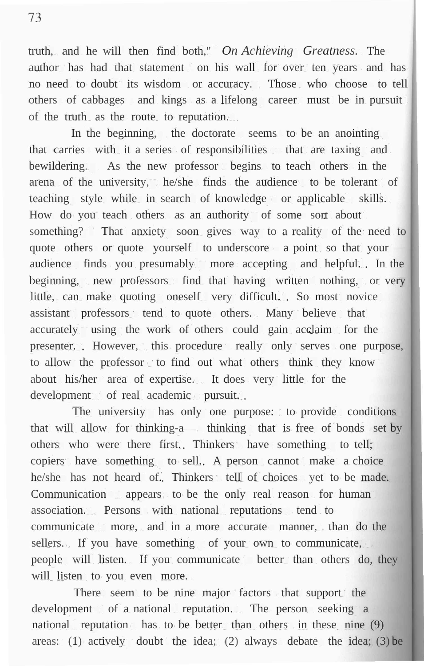truth, and he will then find both," *On Achieving Greatness.* The author has had that statement on his wall for over ten years and has no need to doubt its wisdom or accuracy. Those who choose to tell others of cabbages and kings as a lifelong career must be in pursuit of the truth as the route to reputation.

In the beginning, the doctorate seems to be an anointing. that carries with it a series of responsibilities that are taxing and bewildering. As the new professor begins to teach others in the arena of the university, he/she finds the audience to be tolerant of teaching style while in search of knowledge or applicable skills. How do you teach others as an authority of some sort about something? That anxiety soon gives way to a reality of the need to quote others or quote yourself to underscore a point so that your audience finds you presumably more accepting and helpful. In the beginning, new professors find that having written nothing, or very little, can make quoting oneself very difficult. So most novice assistant professors tend to quote others. Many believe that accurately using the work of others could gain acclaim for the presenter. However, this procedure really only serves one purpose, to allow the professor to find out what others think they know about his/her area of expertise. It does very little for the development of real academic pursuit...

The university has only one purpose: to provide conditions that will allow for thinking-a thinking that is free of bonds set by others who were there first. Thinkers have something to tell; copiers have something to sell. A person cannot make a choice he/she has not heard of. Thinkers tell of choices yet to be made. Communication appears to be the only real reason for human association. Persons with national reputations tend to communicate more, and in a more accurate manner, than do the sellers. If you have something of your own to communicate, people will listen. If you communicate better than others do, they will listen to you even more.

There seem to be nine major factors that support the development of a national reputation. The person seeking a national reputation has to be better than others in these nine (9) areas: (1) actively doubt the idea; (2) always debate the idea; (3) be

73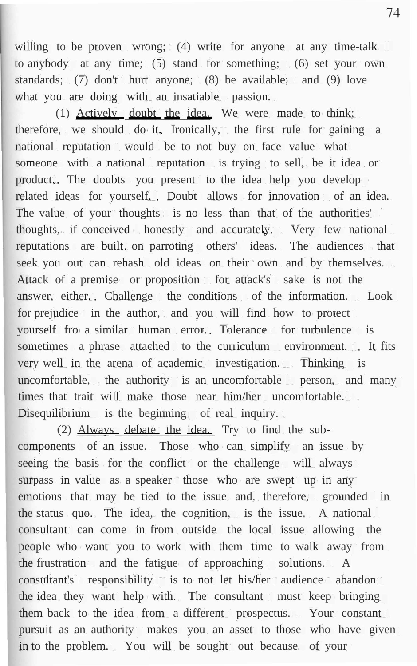willing to be proven wrong; (4) write for anyone at any time-talk to anybody at any time; (5) stand for something; (6) set your own standards; (7) don't hurt anyone; (8) be available; and (9) love what you are doing with an insatiable passion.

(1) Actively doubt the idea. We were made to think; therefore, we should do it. Ironically, the first rule for gaining a national reputation would be to not buy on face value what someone with a national reputation is trying to sell, be it idea or product. The doubts you present to the idea help you develop related ideas for yourself. Doubt allows for innovation of an idea. The value of your thoughts is no less than that of the authorities' thoughts, if conceived honestly and accurately. Very few national reputations are built on parroting others' ideas. The audiences that seek you out can rehash old ideas on their own and by themselves. Attack of a premise or proposition for attack's sake is not the answer, either. Challenge the conditions of the information. Look for prejudice in the author, and you will find how to protect yourself fro a similar human error. Tolerance for turbulence is sometimes a phrase attached to the curriculum environment. It fits very well in the arena of academic investigation. Thinking is uncomfortable, the authority is an uncomfortable person, and many times that trait will make those near him/her uncomfortable. Disequilibrium is the beginning of real inquiry.

(2) Always debate the idea. Try to find the subcomponents of an issue. Those who can simplify an issue by seeing the basis for the conflict or the challenge will always surpass in value as a speaker those who are swept up in any emotions that may be tied to the issue and, therefore, grounded in the status quo. The idea, the cognition, is the issue. A national consultant can come in from outside the local issue allowing the people who want you to work with them time to walk away from the frustration and the fatigue of approaching solutions. A consultant's responsibility is to not let his/her audience abandon the idea they want help with. The consultant must keep bringing them back to the idea from a different prospectus. Your constant pursuit as an authority makes you an asset to those who have given in to the problem. You will be sought out because of your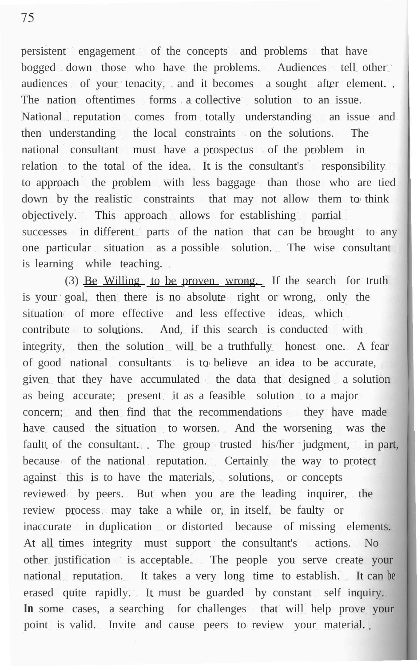persistent engagement of the concepts and problems that have bogged down those who have the problems. Audiences tell other audiences of your tenacity, and it becomes a sought after element. The nation oftentimes forms a collective solution to an issue. National reputation comes from totally understanding an issue and then understanding the local constraints on the solutions. The national consultant must have a prospectus of the problem in relation to the total of the idea. It is the consultant's responsibility to approach the problem with less baggage than those who are tied down by the realistic constraints that may not allow them to think objectively. This approach allows for establishing partial successes in different parts of the nation that can be brought to any one particular situation as a possible solution. The wise consultant is learning while teaching.

(3) Be Willing to be proven wrong. If the search for truth is your goal, then there is no absolute right or wrong, only the situation of more effective and less effective ideas, which contribute to solutions. And, if this search is conducted with integrity, then the solution will be a truthfully honest one. A fear of good national consultants is to believe an idea to be accurate, given that they have accumulated the data that designed a solution as being accurate; present it as a feasible solution to a major concern; and then find that the recommendations they have made have caused the situation to worsen. And the worsening was the fault of the consultant. The group trusted his/her judgment, in part, because of the national reputation. Certainly the way to protect against this is to have the materials, solutions, or concepts reviewed by peers. But when you are the leading inquirer, the review process may take a while or, in itself, be faulty or inaccurate in duplication or distorted because of missing elements. At all times integrity must support the consultant's actions. No other justification is acceptable. The people you serve create your national reputation. It takes a very long time to establish. It can be erased quite rapidly. It must be guarded by constant self inquiry. In some cases, a searching for challenges that will help prove your point is valid. Invite and cause peers to review your material.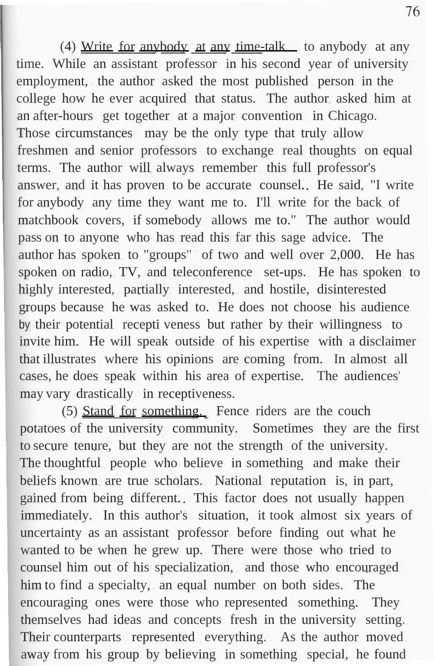(4) Write for any body at any time-talk to any body at any time. While an assistant professor in his second year of university employment, the author asked the most published person in the college how he ever acquired that status. The author asked him at an after-hours get together at a major convention in Chicago. Those circumstances may be the only type that truly allow freshmen and senior professors to exchange real thoughts on equal terms. The author will always remember this full professor's answer, and it has proven to be accurate counsel. He said, "I write for anybody any time they want me to. I'll write for the back of matchbook covers, if somebody allows me to." The author would pass on to anyone who has read this far this sage advice. The author has spoken to "groups" of two and well over 2,000. He has spoken on radio, TV, and teleconference set-ups. He has spoken to highly interested, partially interested, and hostile, disinterested groups because he was asked to. He does not choose his audience by their potential recepti veness but rather by their willingness to invite him. He will speak outside of his expertise with a disclaimer that illustrates where his opinions are coming from. In almost all cases, he does speak within his area of expertise. The audiences' may vary drastically in receptiveness.

(5) Stand for something. Fence riders are the couch potatoes of the university community. Sometimes they are the first to secure tenure, but they are not the strength of the university. The thoughtful people who believe in something and make their beliefs known are true scholars. National reputation is, in part, gained from being different. This factor does not usually happen immediately. In this author's situation, it took almost six years of uncertainty as an assistant professor before finding out what he wanted to be when he grew up. There were those who tried to counsel him out of his specialization, and those who encouraged him to find a specialty, an equal number on both sides. The encouraging ones were those who represented something. They themselves had ideas and concepts fresh in the university setting. Their counterparts represented everything. As the author moved away from his group by believing in something special, he found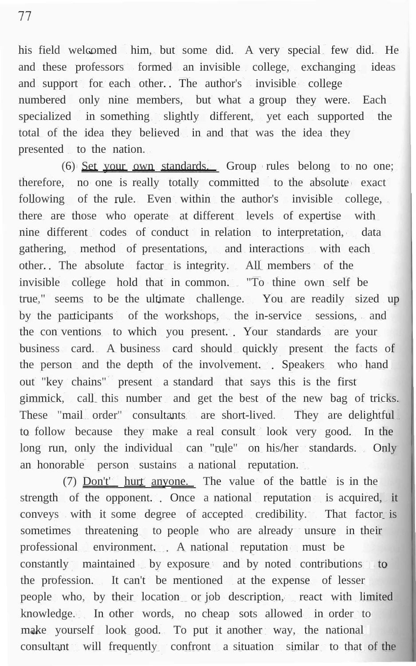77

his field welcomed him, but some did. A very special few did. He and these professors formed an invisible college, exchanging ideas and support for each other. The author's invisible college numbered only nine members, but what a group they were. Each specialized in something slightly different, yet each supported the total of the idea they believed in and that was the idea they presented to the nation.

(6) Set your own standards. Group rules belong to no one; therefore, no one is really totally committed to the absolute exact following of the rule. Even within the author's invisible college, there are those who operate at different levels of expertise with nine different codes of conduct in relation to interpretation, data gathering, method of presentations, and interactions with each other. The absolute factor is integrity. All members of the invisible college hold that in common. "To thine own self be true," seems to be the ultimate challenge. You are readily sized up by the participants of the workshops, the in-service sessions, and the con ventions to which you present. Your standards are your business card. A business card should quickly present the facts of the person and the depth of the involvement. Speakers who hand out "key chains" present a standard that says this is the first gimmick, call this number and get the best of the new bag of tricks. These "mail order" consultants are short-lived. They are delightful to follow because they make a real consult look very good. In the long run, only the individual can "rule" on his/her standards. Only an honorable person sustains a national reputation.

(7) Don't' hurt anyone. The value of the battle is in the strength of the opponent. Once a national reputation is acquired, it conveys with it some degree of accepted credibility. That factor is sometimes threatening to people who are already unsure in their professional environment. A national reputation must be constantly maintained by exposure and by noted contributions to the profession. It can't be mentioned at the expense of lesser people who, by their location or job description, react with limited knowledge. In other words, no cheap sots allowed in order to make yourself look good. To put it another way, the national consultant will frequently confront a situation similar to that of the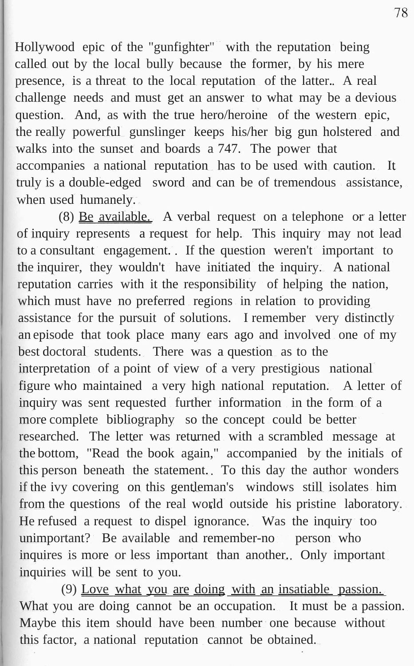Hollywood epic of the "gunfighter" with the reputation being called out by the local bully because the former, by his mere presence, is a threat to the local reputation of the latter. A real challenge needs and must get an answer to what may be a devious question. And, as with the true hero/heroine of the western epic, the really powerful gunslinger keeps his/her big gun holstered and walks into the sunset and boards a 747. The power that accompanies a national reputation has to be used with caution. It truly is a double-edged sword and can be of tremendous assistance, when used humanely.

(8) Be available. A verbal request on a telephone or a letter of inquiry represents a request for help. This inquiry may not lead to a consultant engagement. If the question weren't important to the inquirer, they wouldn't have initiated the inquiry. A national reputation carries with it the responsibility of helping the nation, which must have no preferred regions in relation to providing assistance for the pursuit of solutions. I remember very distinctly an episode that took place many ears ago and involved one of my best doctoral students. There was a question as to the interpretation of a point of view of a very prestigious national figure who maintained a very high national reputation. A letter of inquiry was sent requested further information in the form of a more complete bibliography so the concept could be better researched. The letter was returned with a scrambled message at the bottom, "Read the book again," accompanied by the initials of this person beneath the statement. To this day the author wonders if the ivy covering on this gentleman's windows still isolates him from the questions of the real world outside his pristine laboratory. He refused a request to dispel ignorance. Was the inquiry too unimportant? Be available and remember-no person who inquires is more or less important than another. Only important inquiries will be sent to you.

(9) Love what you are doing with an insatiable passion. What you are doing cannot be an occupation. It must be a passion. Maybe this item should have been number one because without this factor, a national reputation cannot be obtained.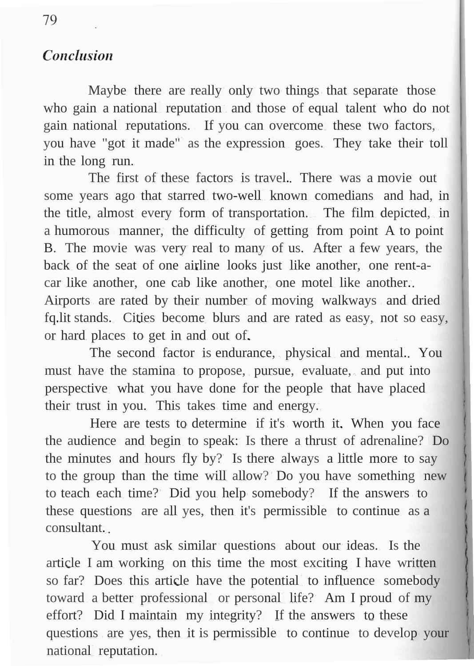### **Conclusion**

Maybe there are really only two things that separate those who gain a national reputation and those of equal talent who do not gain national reputations. If you can overcome these two factors, you have "got it made" as the expression goes. They take their toll in the long run.

The first of these factors is travel. There was a movie out some years ago that starred two-well known comedians and had, in the title, almost every form of transportation. The film depicted, in a humorous manner, the difficulty of getting from point A to point B. The movie was very real to many of us. After a few years, the back of the seat of one airline looks just like another, one rent-acar like another, one cab like another, one motel like another. Airports are rated by their number of moving walkways and dried fq.lit stands. Cities become blurs and are rated as easy, not so easy, or hard places to get in and out of.

The second factor is endurance, physical and mental. You must have the stamina to propose, pursue, evaluate, and put into perspective what you have done for the people that have placed their trust in you. This takes time and energy.

Here are tests to determine if it's worth it. When you face the audience and begin to speak: Is there a thrust of adrenaline? Do the minutes and hours fly by? Is there always a little more to say to the group than the time will allow? Do you have something new to teach each time? Did you help somebody? If the answers to these questions are all yes, then it's permissible to continue as a consultant.

You must ask similar questions about our ideas. Is the article I am working on this time the most exciting I have written so far? Does this article have the potential to influence somebody toward a better professional or personal life? Am I proud of my effort? Did I maintain my integrity? If the answers to these questions are yes, then it is permissible to continue to develop your national reputation.